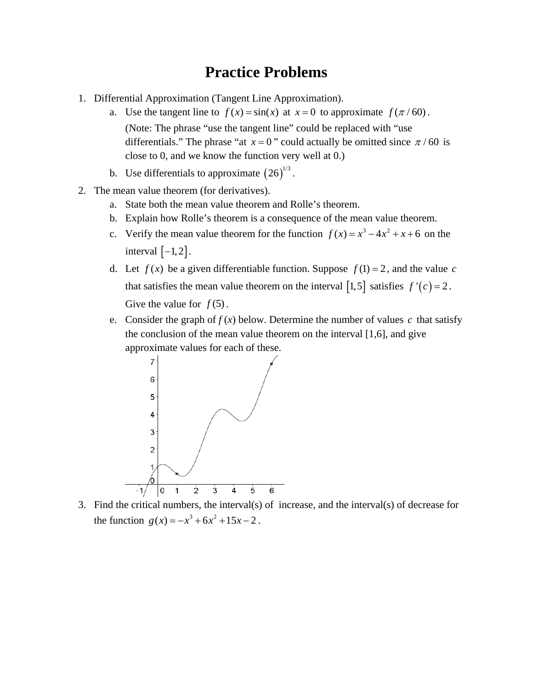## **Practice Problems**

- 1. Differential Approximation (Tangent Line Approximation).
	- a. Use the tangent line to  $f(x) = sin(x)$  at  $x = 0$  to approximate  $f(\pi/60)$ . (Note: The phrase "use the tangent line" could be replaced with "use differentials." The phrase "at  $x = 0$ " could actually be omitted since  $\pi/60$  is close to 0, and we know the function very well at 0.)
	- b. Use differentials to approximate  $(26)^{1/3}$ .
- 2. The mean value theorem (for derivatives).
	- a. State both the mean value theorem and Rolle's theorem.
	- b. Explain how Rolle's theorem is a consequence of the mean value theorem.
	- c. Verify the mean value theorem for the function  $f(x) = x^3 4x^2 + x + 6$  on the interval  $[-1, 2]$ .
	- d. Let  $f(x)$  be a given differentiable function. Suppose  $f(1) = 2$ , and the value c that satisfies the mean value theorem on the interval [1,5] satisfies  $f'(c) = 2$ . Give the value for  $f(5)$ .
	- e. Consider the graph of  $f(x)$  below. Determine the number of values c that satisfy the conclusion of the mean value theorem on the interval [1,6], and give approximate values for each of these.



3. Find the critical numbers, the interval(s) of increase, and the interval(s) of decrease for the function  $g(x) = -x^3 + 6x^2 + 15x - 2$ .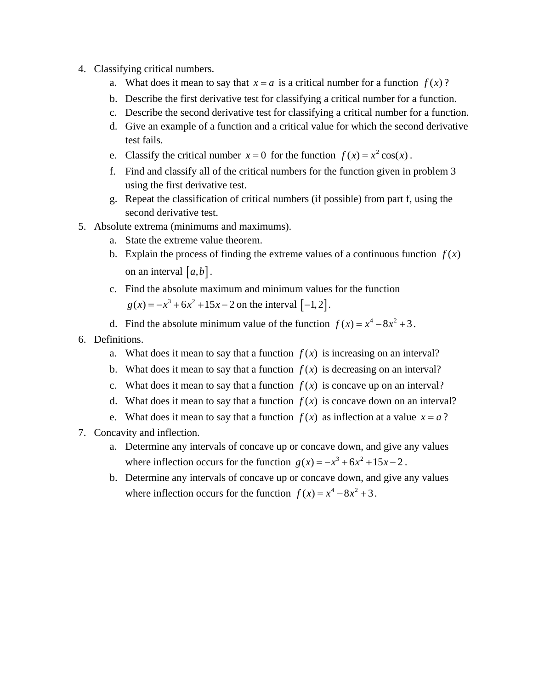- 4. Classifying critical numbers.
	- a. What does it mean to say that  $x = a$  is a critical number for a function  $f(x)$ ?
	- b. Describe the first derivative test for classifying a critical number for a function.
	- c. Describe the second derivative test for classifying a critical number for a function.
	- d. Give an example of a function and a critical value for which the second derivative test fails.
	- e. Classify the critical number  $x = 0$  for the function  $f(x) = x^2 \cos(x)$ .
	- f. Find and classify all of the critical numbers for the function given in problem 3 using the first derivative test.
	- g. Repeat the classification of critical numbers (if possible) from part f, using the second derivative test.
- 5. Absolute extrema (minimums and maximums).
	- a. State the extreme value theorem.
	- b. Explain the process of finding the extreme values of a continuous function  $f(x)$ on an interval  $[a, b]$ .
	- c. Find the absolute maximum and minimum values for the function  $g(x) = -x^3 + 6x^2 + 15x - 2$  on the interval  $[-1, 2]$ .
	- d. Find the absolute minimum value of the function  $f(x) = x^4 8x^2 + 3$ .
- 6. Definitions.
	- a. What does it mean to say that a function  $f(x)$  is increasing on an interval?
	- b. What does it mean to say that a function  $f(x)$  is decreasing on an interval?
	- c. What does it mean to say that a function  $f(x)$  is concave up on an interval?
	- d. What does it mean to say that a function  $f(x)$  is concave down on an interval?
	- e. What does it mean to say that a function  $f(x)$  as inflection at a value  $x = a$ ?
- 7. Concavity and inflection.
	- a. Determine any intervals of concave up or concave down, and give any values where inflection occurs for the function  $g(x) = -x^3 + 6x^2 + 15x - 2$ .
	- b. Determine any intervals of concave up or concave down, and give any values where inflection occurs for the function  $f(x) = x^4 - 8x^2 + 3$ .